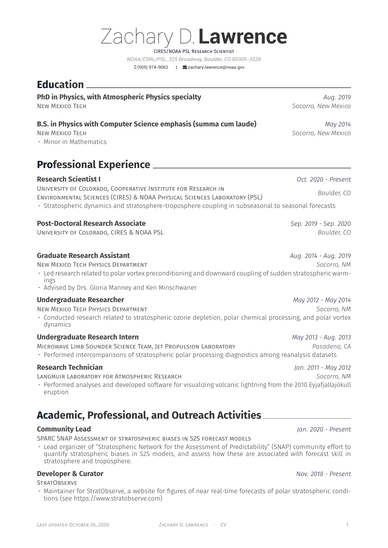# Zachary D.**Lawrence** CIRES/NOAA PSL Research Scientist

*NOAA/ESRL/PSL, 325 Broadway, Boulder, CO 80305-3328* (505) 974-9062 | [zachary.lawrence@noaa.gov](mailto:zachary.lawrence@noaa.gov)

## **Education**

### **PhD in Physics, with Atmospheric Physics specialty** *Aug. 2019 Aug. 2019*

### **B.S. in Physics with Computer Science emphasis (summa cum laude)** *May 2014*

• Minor in Mathematics

# **Professional Experience**

**Research Scientist I** *Oct. 2020 - Present* University of Colorado, Cooperative Institute for Research in Environmental Sciences (CIRES) & NOAA Physical Sciences Laboratory (PSL) *Boulder, CO* • Stratospheric dynamics and stratosphere-troposphere coupling in subseasonal to seasonal forecasts

### **Post-Doctoral Research Associate** *Sep. 2019 - Sep. 2020*

University of Colorado, CIRES & NOAA PSL *Boulder, CO*

### **Graduate Research Assistant** *Aug. 2014 - Aug. 2019*

New Mexico Tech Physics Department *Socorro, NM*

- Led research related to polar vortex preconditioning and downward coupling of sudden stratospheric warmings
- Advised by Drs. Gloria Manney and Ken Minschwaner

#### **Undergraduate Researcher** *May 2012 - May 2014*

New Mexico Tech Physics Department *Socorro, NM*

• Conducted research related to stratospheric ozone depletion, polar chemical processing, and polar vortex dynamics

#### **Undergraduate Research Intern** *May 2013 - Aug. 2013*

Microwave Limb Sounder Science Team, Jet Propulsion Laboratory *Pasadena, CA*

• Performed intercomparisons of stratospheric polar processing diagnostics among reanalysis datasets

#### **Research Technician** *Jan. 2011 - May 2012*

Langmuir Laboratory for Atmospheric Research *Socorro, NM*

• Performed analyses and developed software for visualizing volcanic lightning from the 2010 Eyjafjallajökull eruption

# **Academic, Professional, and Outreach Activities**

### **Community Lead** *Jan. 2020 - Present*

SPARC SNAP Assessment of stratospheric biases in S2S forecast models

• Lead organizer of "Stratospheric Network for the Assessment of Predictability" (SNAP) community effort to quantify stratospheric biases in S2S models, and assess how these are associated with forecast skill in stratosphere and troposphere.

### **Developer & Curator** *Nov. 2018 - Present*

STRATORSFRVF

• Maintainer for StratObserve, a website for figures of near real-time forecasts of polar stratospheric conditions (see [https://www.stratobserve.com\)](https://www.stratobserve.com)

New Mexico Tech *Socorro, New Mexico*

New Mexico Tech *Socorro, New Mexico*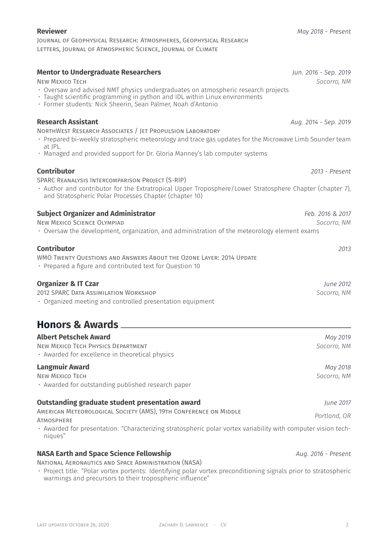#### Journal of Geophysical Research: Atmospheres, Geophysical Research Letters, Journal of Atmospheric Science, Journal of Climate

#### **Mentor to Undergraduate Researchers** *Jun. 2016 - Sep. 2019*

New Mexico Tech *Socorro, NM*

- Oversaw and advised NMT physics undergraduates on atmospheric research projects
- Taught scientific programming in python and IDL within Linux environments
- Former students: Nick Sheerin, Sean Palmer, Noah d'Antonio

### **Research Assistant** *Aug. 2014 - Sep. 2019*

### NorthWest Research Associates / Jet Propulsion Laboratory

- Prepared bi-weekly stratospheric meteorology and trace gas updates for the Microwave Limb Sounder team at JPL.
- Managed and provided support for Dr. Gloria Manney's lab computer systems

### **Contributor** *2013 - Present*

SPARC Reanalysis Intercomparison Project (S-RIP)

• Author and contributor for the Extratropical Upper Troposphere/Lower Stratosphere Chapter (chapter 7), and Stratospheric Polar Processes Chapter (chapter 10)

### **Subject Organizer and Administrator** *Feb. 2016 & 2017*

New Mexico Science Olympiad *Socorro, NM*

• Oversaw the development, organization, and administration of the meteorology element exams

### **Contributor** *2013*

WMO Twenty Questions and Answers About the Ozone Layer: 2014 Update

• Prepared a figure and contributed text for Question 10

### **Organizer & IT Czar** *June 2012*

2012 SPARC Data Assimilation Workshop *Socorro, NM* • Organized meeting and controlled presentation equipment

# **Honors & Awards**

| <b>Albert Petschek Award</b>                                                                                             | May 2019<br>Socorro, NM |  |
|--------------------------------------------------------------------------------------------------------------------------|-------------------------|--|
| NEW MEXICO TECH PHYSICS DEPARTMENT<br>$\cdot$ Awarded for excellence in theoretical physics                              |                         |  |
| <b>Langmuir Award</b>                                                                                                    | May 2018                |  |
| <b>NEW MEXICO TECH</b><br>$\cdot$ Awarded for outstanding published research paper                                       | Socorro, NM             |  |
| Outstanding graduate student presentation award                                                                          | June 2017               |  |
| AMERICAN METEOROLOGICAL SOCIETY (AMS), 19TH CONFERENCE ON MIDDLE<br>Portland, OR<br><b>ATMOSPHERE</b>                    |                         |  |
| · Awarded for presentation: "Characterizing stratospheric polar vortex variability with computer vision tech-<br>niques" |                         |  |

### **NASA Earth and Space Science Fellowship** *Aug. 2016 - Present*

National Aeronautics and Space Administration (NASA)

• Project title: "Polar vortex portents: Identifying polar vortex preconditioning signals prior to stratospheric warmings and precursors to their tropospheric influence"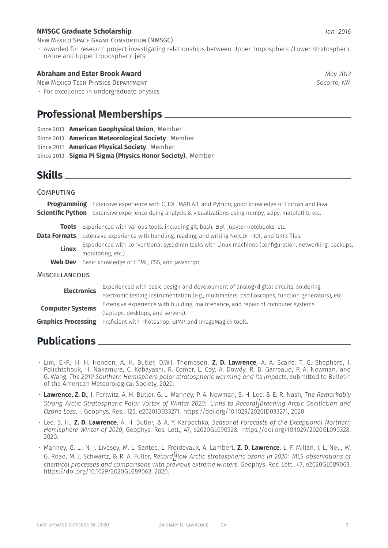#### **NMSGC Graduate Scholarship** *Jan. 2016*

New Mexico Space Grant Consortium (NMSGC)

• Awarded for research project investigating relationships between Upper Tropospheric/Lower Stratospheric ozone and Upper Tropospheric jets

#### **Abraham and Ester Brook Award** *May 2013*

New Mexico Tech Physics Department *Socorro, NM*

• For excellence in undergraduate physics

## **Professional Memberships**

- Since 2013 **American Geophysical Union**, Member
- Since 2013 **American Meteorological Society**, Member
- Since 2011 **American Physical Society**, Member
- Since 2013 **Sigma Pi Sigma (Physics Honor Society)**, Member

## **Skills**

| <b>COMPUTING</b>                                    |                                                                                                                                                                                                                                          |                                                                                                                                                                                                                                                                                                           |  |  |
|-----------------------------------------------------|------------------------------------------------------------------------------------------------------------------------------------------------------------------------------------------------------------------------------------------|-----------------------------------------------------------------------------------------------------------------------------------------------------------------------------------------------------------------------------------------------------------------------------------------------------------|--|--|
|                                                     | Extensive experience with C, IDL, MATLAB, and Python; good knowledge of Fortran and Java.<br><b>Programming</b><br><b>Scientific Python</b><br>Extensive experience doing analysis & visualizations using numpy, scipy, matplotlib, etc. |                                                                                                                                                                                                                                                                                                           |  |  |
| <b>Tools</b><br><b>Data Formats</b><br><b>Linux</b> |                                                                                                                                                                                                                                          | Experienced with various tools, including git, bash, ETFX, jupyter notebooks, etc.<br>Extensive experience with handling, reading, and writing NetCDF, HDF, and GRIB files.<br>Experienced with conventional sysadmin tasks with Linux machines (configuration, networking, backups,<br>monitoring, etc.) |  |  |
| <b>Web Dev</b>                                      |                                                                                                                                                                                                                                          | Basic knowledge of HTML, CSS, and javascript.                                                                                                                                                                                                                                                             |  |  |
| <b>MISCELLANEOUS</b>                                |                                                                                                                                                                                                                                          |                                                                                                                                                                                                                                                                                                           |  |  |
| <b>Electronics</b>                                  |                                                                                                                                                                                                                                          | Experienced with basic design and development of analog/digital circuits, soldering,<br>electronic testing instrumentation (e.g., multimeters, oscilloscopes, function generators), etc.                                                                                                                  |  |  |
| <b>Computer Systems</b>                             |                                                                                                                                                                                                                                          | Extensive experience with building, maintenance, and repair of computer systems<br>(laptops, desktops, and servers).                                                                                                                                                                                      |  |  |
| <b>Graphics Processing</b>                          |                                                                                                                                                                                                                                          | Proficient with Photoshop, GIMP, and ImageMagick tools.                                                                                                                                                                                                                                                   |  |  |

## **Publications**

- Lim, E.-P., H. H. Hendon, A. H. Butler, D.W.J. Thompson, **Z. D. Lawrence**, A. A. Scaife, T. G. Shepherd, I. Polichtchouk, H. Nakamura, C. Kobayashi, R. Comer, L. Coy, A. Dowdy, R. D. Garreaud, P. A. Newman, and G. Wang, *The 2019 Southern Hemisphere polar stratospheric warming and its impacts*, submitted to Bulletin of the American Meteorological Society, 2020.
- **Lawrence, Z. D.**, J. Perlwitz, A. H. Butler, G. L. Manney, P. A. Newman, S. H. Lee, & E. R. Nash, *The Remarkably Strong Arctic Stratospheric Polar Vortex of Winter 2020: Links to RecordBreaking Arctic Oscillation and Ozone Loss*, J. Geophys. Res., 125, e2020JD033271. https://doi.org/10.1029/2020JD033271, 2020.
- Lee, S. H., **Z. D. Lawrence**, A. H. Butler, & A. Y. Karpechko, *Seasonal Forecasts of the Exceptional Northern Hemisphere Winter of 2020*, Geophys. Res. Lett., 47, e2020GL090328. https://doi.org/10.1029/2020GL090328, 2020.
- Manney, G. L., N. J. Livesey, M. L. Santee, L. Froidevaux, A. Lambert, **Z. D. Lawrence**, L. F. Millán, J. L. Neu, W. G. Read, M. J. Schwartz, & R. A. Fuller, *Record<sup>1</sup> low Arctic stratospheric ozone in 2020: MLS observations of chemical processes and comparisons with previous extreme winters*, Geophys. Res. Lett., 47, e2020GL089063. https://doi.org/10.1029/2020GL089063, 2020.